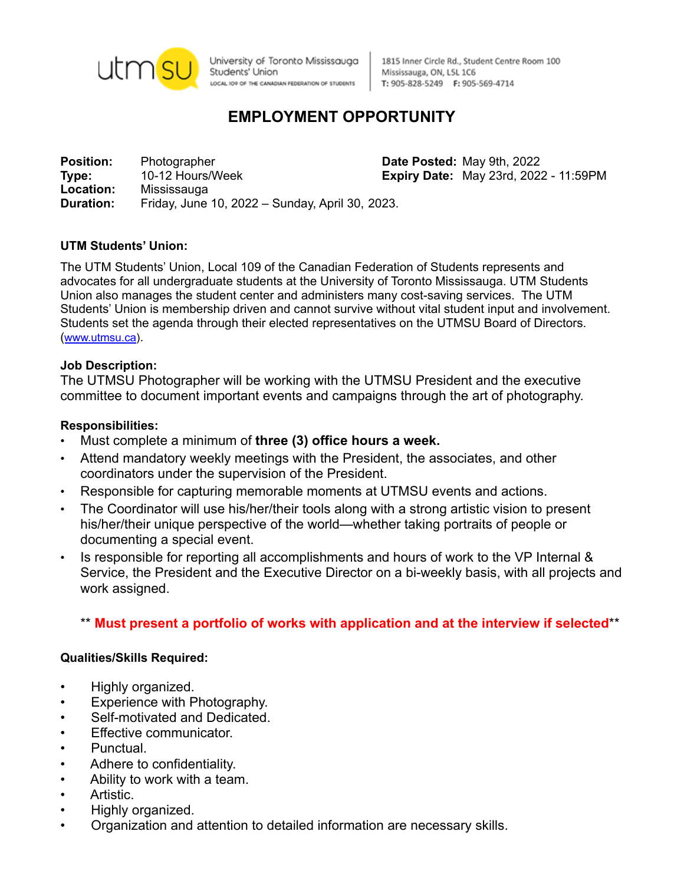

University of Toronto Mississauga Students' Union LOCAL IO9 OF THE CANADIAN FEDERATION OF STUDENTS

1815 Inner Circle Rd., Student Centre Room 100 Mississauga, ON, L5L 1C6 T: 905-828-5249 F: 905-569-4714

# **EMPLOYMENT OPPORTUNITY**

**Position:** Photographer **Date Posted:** May 9th, 2022 **Type:** 10-12 Hours/Week **Expiry Date:** May 23rd, 2022 - 11:59PM **Location:** Mississauga **Duration:** Friday, June 10, 2022 – Sunday, April 30, 2023.

### **UTM Students' Union:**

The UTM Students' Union, Local 109 of the Canadian Federation of Students represents and advocates for all undergraduate students at the University of Toronto Mississauga. UTM Students Union also manages the student center and administers many cost-saving services. The UTM Students' Union is membership driven and cannot survive without vital student input and involvement. Students set the agenda through their elected representatives on the UTMSU Board of Directors. ([www.utmsu.ca](http://www.utmsu.ca)).

### **Job Description:**

The UTMSU Photographer will be working with the UTMSU President and the executive committee to document important events and campaigns through the art of photography.

#### **Responsibilities:**

- Must complete a minimum of **three (3) office hours a week.**
- Attend mandatory weekly meetings with the President, the associates, and other coordinators under the supervision of the President.
- Responsible for capturing memorable moments at UTMSU events and actions.
- The Coordinator will use his/her/their tools along with a strong artistic vision to present his/her/their unique perspective of the world—whether taking portraits of people or documenting a special event.
- Is responsible for reporting all accomplishments and hours of work to the VP Internal & Service, the President and the Executive Director on a bi-weekly basis, with all projects and work assigned.

# \*\* **Must present a portfolio of works with application and at the interview if selected**\*\*

#### **Qualities/Skills Required:**

- Highly organized.
- Experience with Photography.
- Self-motivated and Dedicated.
- Effective communicator.
- Punctual.
- Adhere to confidentiality.
- Ability to work with a team.
- Artistic.
- Highly organized.
- Organization and attention to detailed information are necessary skills.